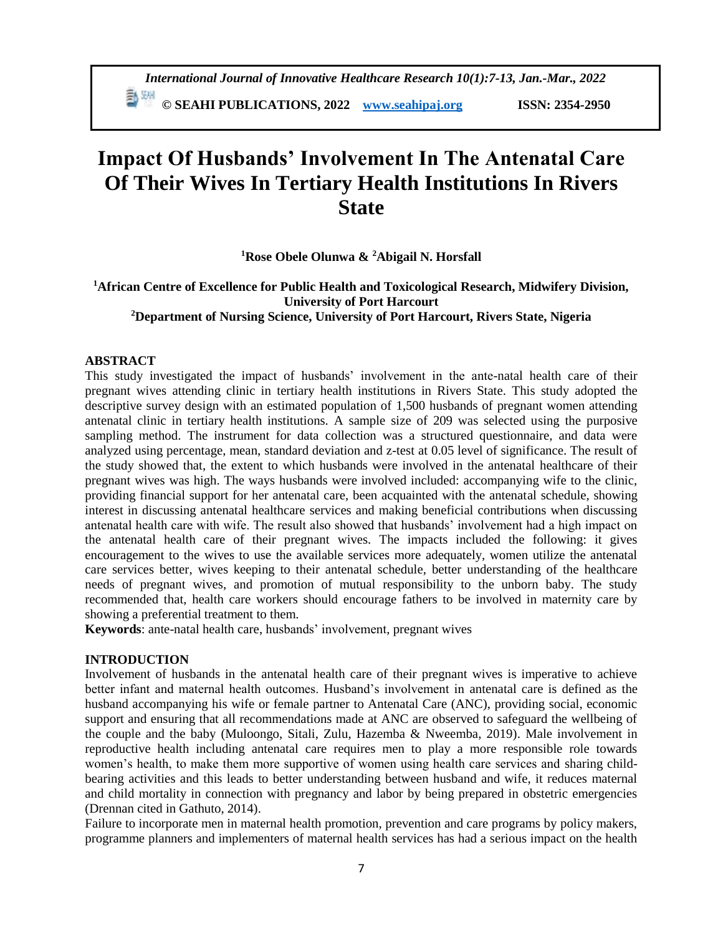# **Impact Of Husbands' Involvement In The Antenatal Care Of Their Wives In Tertiary Health Institutions In Rivers State**

**<sup>1</sup>Rose Obele Olunwa & <sup>2</sup>Abigail N. Horsfall**

# **<sup>1</sup>African Centre of Excellence for Public Health and Toxicological Research, Midwifery Division, University of Port Harcourt <sup>2</sup>Department of Nursing Science, University of Port Harcourt, Rivers State, Nigeria**

# **ABSTRACT**

This study investigated the impact of husbands' involvement in the ante-natal health care of their pregnant wives attending clinic in tertiary health institutions in Rivers State. This study adopted the descriptive survey design with an estimated population of 1,500 husbands of pregnant women attending antenatal clinic in tertiary health institutions. A sample size of 209 was selected using the purposive sampling method. The instrument for data collection was a structured questionnaire, and data were analyzed using percentage, mean, standard deviation and z-test at 0.05 level of significance. The result of the study showed that, the extent to which husbands were involved in the antenatal healthcare of their pregnant wives was high. The ways husbands were involved included: accompanying wife to the clinic, providing financial support for her antenatal care, been acquainted with the antenatal schedule, showing interest in discussing antenatal healthcare services and making beneficial contributions when discussing antenatal health care with wife. The result also showed that husbands' involvement had a high impact on the antenatal health care of their pregnant wives. The impacts included the following: it gives encouragement to the wives to use the available services more adequately, women utilize the antenatal care services better, wives keeping to their antenatal schedule, better understanding of the healthcare needs of pregnant wives, and promotion of mutual responsibility to the unborn baby. The study recommended that, health care workers should encourage fathers to be involved in maternity care by showing a preferential treatment to them.

**Keywords**: ante-natal health care, husbands' involvement, pregnant wives

# **INTRODUCTION**

Involvement of husbands in the antenatal health care of their pregnant wives is imperative to achieve better infant and maternal health outcomes. Husband's involvement in antenatal care is defined as the husband accompanying his wife or female partner to Antenatal Care (ANC), providing social, economic support and ensuring that all recommendations made at ANC are observed to safeguard the wellbeing of the couple and the baby (Muloongo, Sitali, Zulu, Hazemba & Nweemba, 2019). Male involvement in reproductive health including antenatal care requires men to play a more responsible role towards women's health, to make them more supportive of women using health care services and sharing childbearing activities and this leads to better understanding between husband and wife, it reduces maternal and child mortality in connection with pregnancy and labor by being prepared in obstetric emergencies (Drennan cited in Gathuto, 2014).

Failure to incorporate men in maternal health promotion, prevention and care programs by policy makers, programme planners and implementers of maternal health services has had a serious impact on the health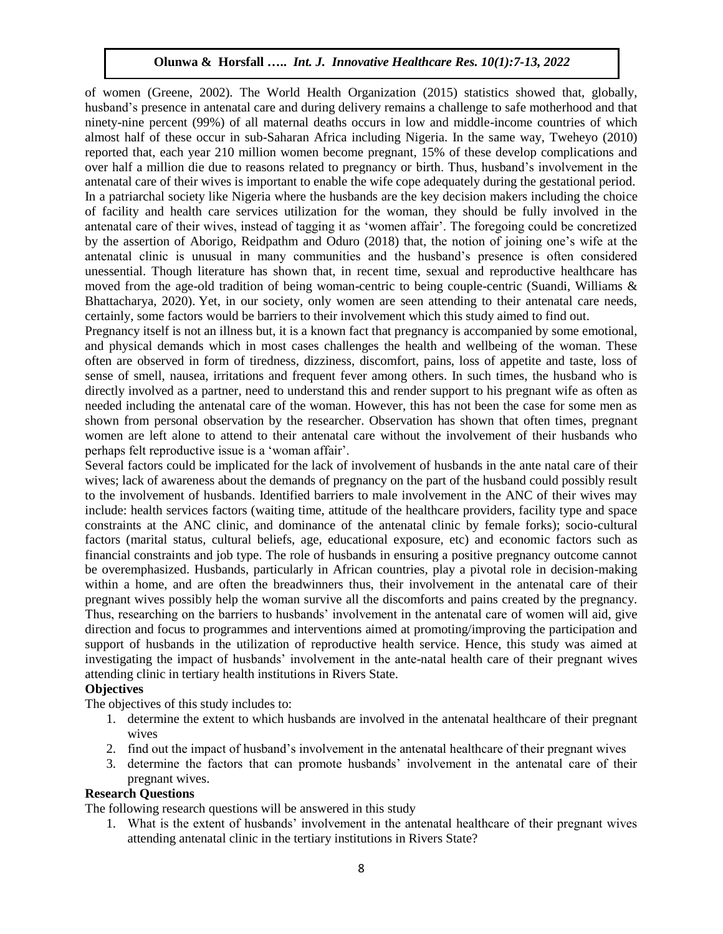of women (Greene, 2002). The World Health Organization (2015) statistics showed that, globally, husband's presence in antenatal care and during delivery remains a challenge to safe motherhood and that ninety-nine percent (99%) of all maternal deaths occurs in low and middle-income countries of which almost half of these occur in sub-Saharan Africa including Nigeria. In the same way, Tweheyo (2010) reported that, each year 210 million women become pregnant, 15% of these develop complications and over half a million die due to reasons related to pregnancy or birth. Thus, husband's involvement in the antenatal care of their wives is important to enable the wife cope adequately during the gestational period. In a patriarchal society like Nigeria where the husbands are the key decision makers including the choice of facility and health care services utilization for the woman, they should be fully involved in the antenatal care of their wives, instead of tagging it as 'women affair'. The foregoing could be concretized by the assertion of Aborigo, Reidpathm and Oduro (2018) that, the notion of joining one's wife at the antenatal clinic is unusual in many communities and the husband's presence is often considered unessential. Though literature has shown that, in recent time, sexual and reproductive healthcare has moved from the age-old tradition of being woman-centric to being couple-centric (Suandi, Williams & Bhattacharya, 2020). Yet, in our society, only women are seen attending to their antenatal care needs, certainly, some factors would be barriers to their involvement which this study aimed to find out.

Pregnancy itself is not an illness but, it is a known fact that pregnancy is accompanied by some emotional, and physical demands which in most cases challenges the health and wellbeing of the woman. These often are observed in form of tiredness, dizziness, discomfort, pains, loss of appetite and taste, loss of sense of smell, nausea, irritations and frequent fever among others. In such times, the husband who is directly involved as a partner, need to understand this and render support to his pregnant wife as often as needed including the antenatal care of the woman. However, this has not been the case for some men as shown from personal observation by the researcher. Observation has shown that often times, pregnant women are left alone to attend to their antenatal care without the involvement of their husbands who perhaps felt reproductive issue is a 'woman affair'.

Several factors could be implicated for the lack of involvement of husbands in the ante natal care of their wives; lack of awareness about the demands of pregnancy on the part of the husband could possibly result to the involvement of husbands. Identified barriers to male involvement in the ANC of their wives may include: health services factors (waiting time, attitude of the healthcare providers, facility type and space constraints at the ANC clinic, and dominance of the antenatal clinic by female forks); socio-cultural factors (marital status, cultural beliefs, age, educational exposure, etc) and economic factors such as financial constraints and job type. The role of husbands in ensuring a positive pregnancy outcome cannot be overemphasized. Husbands, particularly in African countries, play a pivotal role in decision-making within a home, and are often the breadwinners thus, their involvement in the antenatal care of their pregnant wives possibly help the woman survive all the discomforts and pains created by the pregnancy. Thus, researching on the barriers to husbands' involvement in the antenatal care of women will aid, give direction and focus to programmes and interventions aimed at promoting/improving the participation and support of husbands in the utilization of reproductive health service. Hence, this study was aimed at investigating the impact of husbands' involvement in the ante-natal health care of their pregnant wives attending clinic in tertiary health institutions in Rivers State.

#### **Objectives**

The objectives of this study includes to:

- 1. determine the extent to which husbands are involved in the antenatal healthcare of their pregnant wives
- 2. find out the impact of husband's involvement in the antenatal healthcare of their pregnant wives
- 3. determine the factors that can promote husbands' involvement in the antenatal care of their pregnant wives.

#### **Research Questions**

The following research questions will be answered in this study

1. What is the extent of husbands' involvement in the antenatal healthcare of their pregnant wives attending antenatal clinic in the tertiary institutions in Rivers State?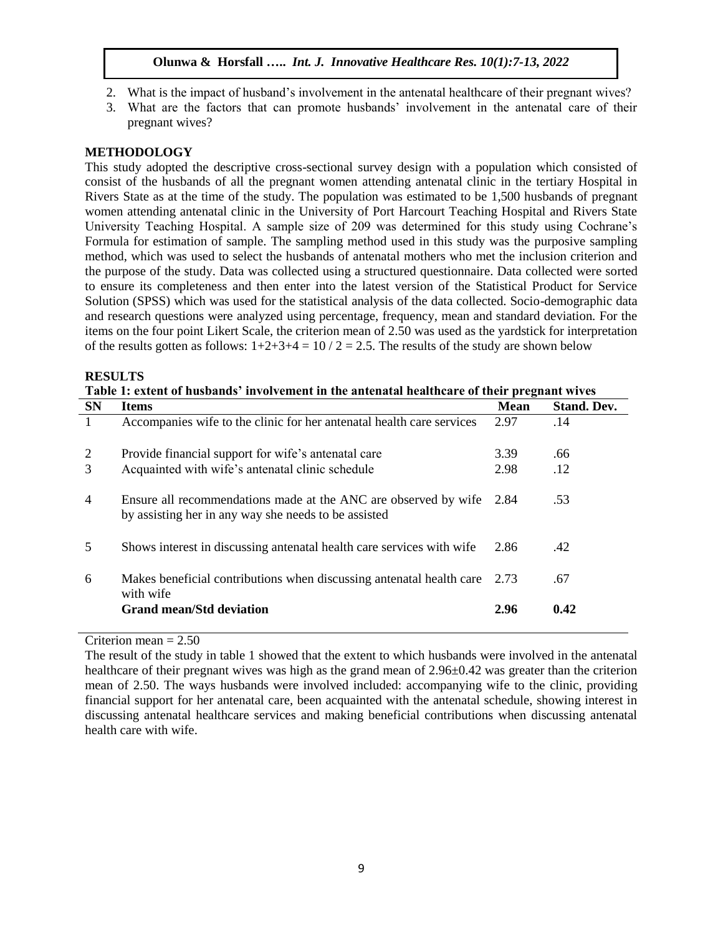- 2. What is the impact of husband's involvement in the antenatal healthcare of their pregnant wives?
- 3. What are the factors that can promote husbands' involvement in the antenatal care of their pregnant wives?

# **METHODOLOGY**

This study adopted the descriptive cross-sectional survey design with a population which consisted of consist of the husbands of all the pregnant women attending antenatal clinic in the tertiary Hospital in Rivers State as at the time of the study. The population was estimated to be 1,500 husbands of pregnant women attending antenatal clinic in the University of Port Harcourt Teaching Hospital and Rivers State University Teaching Hospital. A sample size of 209 was determined for this study using Cochrane's Formula for estimation of sample. The sampling method used in this study was the purposive sampling method, which was used to select the husbands of antenatal mothers who met the inclusion criterion and the purpose of the study. Data was collected using a structured questionnaire. Data collected were sorted to ensure its completeness and then enter into the latest version of the Statistical Product for Service Solution (SPSS) which was used for the statistical analysis of the data collected. Socio-demographic data and research questions were analyzed using percentage, frequency, mean and standard deviation. For the items on the four point Likert Scale, the criterion mean of 2.50 was used as the yardstick for interpretation of the results gotten as follows:  $1+2+3+4 = 10/2 = 2.5$ . The results of the study are shown below

#### **RESULTS**

| Table 1: extent of husbands' involvement in the antenatal healthcare of their pregnant wives |                                                                                                                         |             |                    |  |  |
|----------------------------------------------------------------------------------------------|-------------------------------------------------------------------------------------------------------------------------|-------------|--------------------|--|--|
| <b>SN</b>                                                                                    | <b>Items</b>                                                                                                            | <b>Mean</b> | <b>Stand. Dev.</b> |  |  |
|                                                                                              | Accompanies wife to the clinic for her antenatal health care services                                                   | 2.97        | .14                |  |  |
| 2                                                                                            | Provide financial support for wife's antenatal care                                                                     | 3.39        | .66                |  |  |
| 3                                                                                            | Acquainted with wife's antenatal clinic schedule                                                                        | 2.98        | .12                |  |  |
| $\overline{4}$                                                                               | Ensure all recommendations made at the ANC are observed by wife<br>by assisting her in any way she needs to be assisted | 2.84        | .53                |  |  |
| 5                                                                                            | Shows interest in discussing antenatal health care services with wife                                                   | 2.86        | .42                |  |  |
| 6                                                                                            | Makes beneficial contributions when discussing antenatal health care<br>with wife                                       | 2.73        | .67                |  |  |
|                                                                                              | <b>Grand mean/Std deviation</b>                                                                                         | 2.96        | 0.42               |  |  |

Criterion mean = 2.50

The result of the study in table 1 showed that the extent to which husbands were involved in the antenatal healthcare of their pregnant wives was high as the grand mean of 2.96 $\pm$ 0.42 was greater than the criterion mean of 2.50. The ways husbands were involved included: accompanying wife to the clinic, providing financial support for her antenatal care, been acquainted with the antenatal schedule, showing interest in discussing antenatal healthcare services and making beneficial contributions when discussing antenatal health care with wife.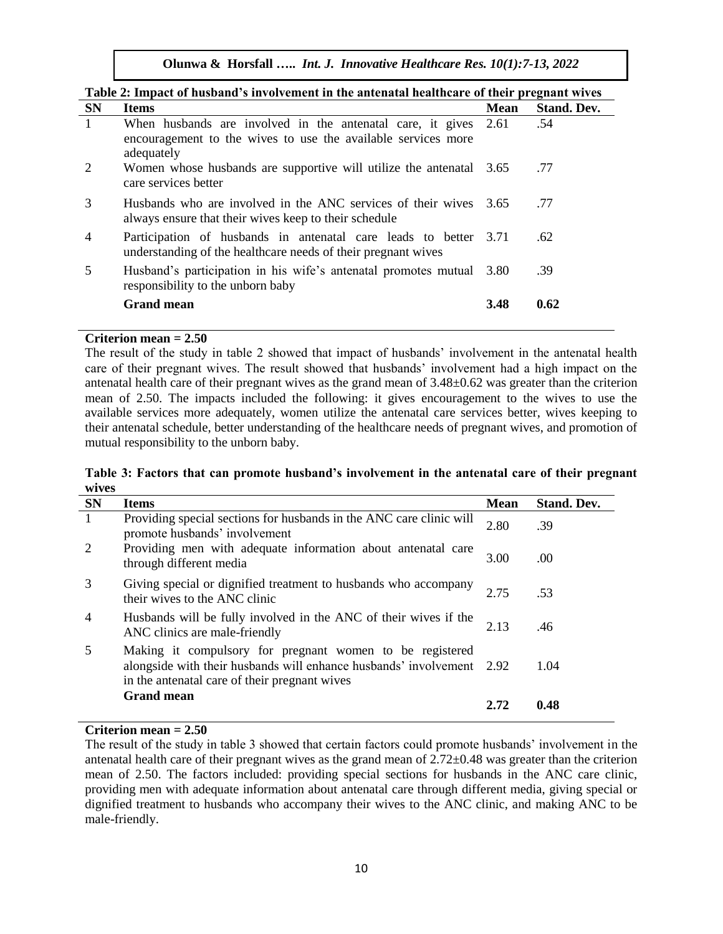| Table 2: Impact of husband's involvement in the antenatal healthcare of their pregnant wives |                                                                                                                                                |             |                    |  |  |
|----------------------------------------------------------------------------------------------|------------------------------------------------------------------------------------------------------------------------------------------------|-------------|--------------------|--|--|
| <b>SN</b>                                                                                    | <b>Items</b>                                                                                                                                   | <b>Mean</b> | <b>Stand. Dev.</b> |  |  |
|                                                                                              | When husbands are involved in the antenatal care, it gives 2.61<br>encouragement to the wives to use the available services more<br>adequately |             | .54                |  |  |
| 2                                                                                            | Women whose husbands are supportive will utilize the antenatal 3.65<br>care services better                                                    |             | .77                |  |  |
| 3                                                                                            | Husbands who are involved in the ANC services of their wives 3.65<br>always ensure that their wives keep to their schedule                     |             | .77                |  |  |
| 4                                                                                            | Participation of husbands in antenatal care leads to better<br>understanding of the healthcare needs of their pregnant wives                   | 3.71        | .62                |  |  |
| 5                                                                                            | Husband's participation in his wife's antenatal promotes mutual<br>responsibility to the unborn baby                                           | 3.80        | .39                |  |  |
|                                                                                              | <b>Grand mean</b>                                                                                                                              | 3.48        | 0.62               |  |  |

#### **Criterion mean = 2.50**

The result of the study in table 2 showed that impact of husbands' involvement in the antenatal health care of their pregnant wives. The result showed that husbands' involvement had a high impact on the antenatal health care of their pregnant wives as the grand mean of 3.48±0.62 was greater than the criterion mean of 2.50. The impacts included the following: it gives encouragement to the wives to use the available services more adequately, women utilize the antenatal care services better, wives keeping to their antenatal schedule, better understanding of the healthcare needs of pregnant wives, and promotion of mutual responsibility to the unborn baby.

#### **Table 3: Factors that can promote husband's involvement in the antenatal care of their pregnant wives**

| <b>SN</b>      | <b>Items</b>                                                                                                                                                                       | <b>Mean</b> | <b>Stand. Dev.</b> |
|----------------|------------------------------------------------------------------------------------------------------------------------------------------------------------------------------------|-------------|--------------------|
| $\overline{1}$ | Providing special sections for husbands in the ANC care clinic will<br>promote husbands' involvement                                                                               | 2.80        | .39                |
| 2              | Providing men with adequate information about antenatal care<br>through different media                                                                                            | 3.00        | .00.               |
| 3              | Giving special or dignified treatment to husbands who accompany<br>their wives to the ANC clinic                                                                                   | 2.75        | .53                |
| $\overline{4}$ | Husbands will be fully involved in the ANC of their wives if the<br>ANC clinics are male-friendly                                                                                  | 2.13        | .46                |
| 5              | Making it compulsory for pregnant women to be registered<br>alongside with their husbands will enhance husbands' involvement 2.92<br>in the antenatal care of their pregnant wives |             | 1.04               |
|                | <b>Grand mean</b>                                                                                                                                                                  | 2.72        | 0.48               |

# **Criterion mean = 2.50**

The result of the study in table 3 showed that certain factors could promote husbands' involvement in the antenatal health care of their pregnant wives as the grand mean of 2.72±0.48 was greater than the criterion mean of 2.50. The factors included: providing special sections for husbands in the ANC care clinic, providing men with adequate information about antenatal care through different media, giving special or dignified treatment to husbands who accompany their wives to the ANC clinic, and making ANC to be male-friendly.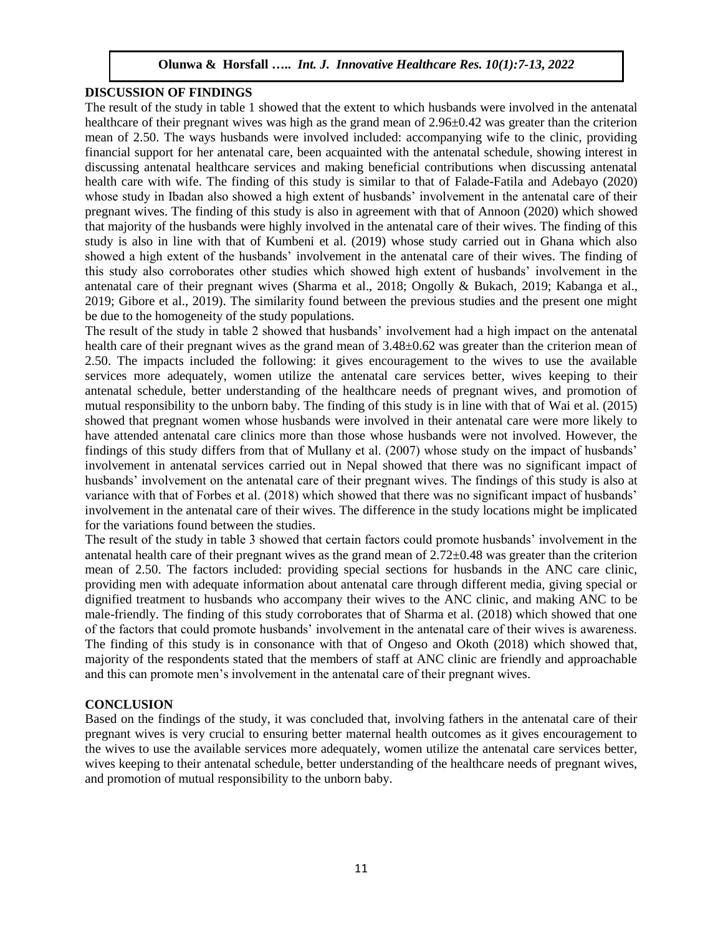#### **DISCUSSION OF FINDINGS**

The result of the study in table 1 showed that the extent to which husbands were involved in the antenatal healthcare of their pregnant wives was high as the grand mean of 2.96 $\pm$ 0.42 was greater than the criterion mean of 2.50. The ways husbands were involved included: accompanying wife to the clinic, providing financial support for her antenatal care, been acquainted with the antenatal schedule, showing interest in discussing antenatal healthcare services and making beneficial contributions when discussing antenatal health care with wife. The finding of this study is similar to that of Falade-Fatila and Adebayo (2020) whose study in Ibadan also showed a high extent of husbands' involvement in the antenatal care of their pregnant wives. The finding of this study is also in agreement with that of Annoon (2020) which showed that majority of the husbands were highly involved in the antenatal care of their wives. The finding of this study is also in line with that of Kumbeni et al. (2019) whose study carried out in Ghana which also showed a high extent of the husbands' involvement in the antenatal care of their wives. The finding of this study also corroborates other studies which showed high extent of husbands' involvement in the antenatal care of their pregnant wives (Sharma et al., 2018; Ongolly & Bukach, 2019; Kabanga et al., 2019; Gibore et al., 2019). The similarity found between the previous studies and the present one might be due to the homogeneity of the study populations.

The result of the study in table 2 showed that husbands' involvement had a high impact on the antenatal health care of their pregnant wives as the grand mean of  $3.48\pm0.62$  was greater than the criterion mean of 2.50. The impacts included the following: it gives encouragement to the wives to use the available services more adequately, women utilize the antenatal care services better, wives keeping to their antenatal schedule, better understanding of the healthcare needs of pregnant wives, and promotion of mutual responsibility to the unborn baby. The finding of this study is in line with that of Wai et al. (2015) showed that pregnant women whose husbands were involved in their antenatal care were more likely to have attended antenatal care clinics more than those whose husbands were not involved. However, the findings of this study differs from that of Mullany et al. (2007) whose study on the impact of husbands' involvement in antenatal services carried out in Nepal showed that there was no significant impact of husbands' involvement on the antenatal care of their pregnant wives. The findings of this study is also at variance with that of Forbes et al. (2018) which showed that there was no significant impact of husbands' involvement in the antenatal care of their wives. The difference in the study locations might be implicated for the variations found between the studies.

The result of the study in table 3 showed that certain factors could promote husbands' involvement in the antenatal health care of their pregnant wives as the grand mean of 2.72±0.48 was greater than the criterion mean of 2.50. The factors included: providing special sections for husbands in the ANC care clinic, providing men with adequate information about antenatal care through different media, giving special or dignified treatment to husbands who accompany their wives to the ANC clinic, and making ANC to be male-friendly. The finding of this study corroborates that of Sharma et al. (2018) which showed that one of the factors that could promote husbands' involvement in the antenatal care of their wives is awareness. The finding of this study is in consonance with that of Ongeso and Okoth (2018) which showed that, majority of the respondents stated that the members of staff at ANC clinic are friendly and approachable and this can promote men's involvement in the antenatal care of their pregnant wives.

#### **CONCLUSION**

Based on the findings of the study, it was concluded that, involving fathers in the antenatal care of their pregnant wives is very crucial to ensuring better maternal health outcomes as it gives encouragement to the wives to use the available services more adequately, women utilize the antenatal care services better, wives keeping to their antenatal schedule, better understanding of the healthcare needs of pregnant wives, and promotion of mutual responsibility to the unborn baby.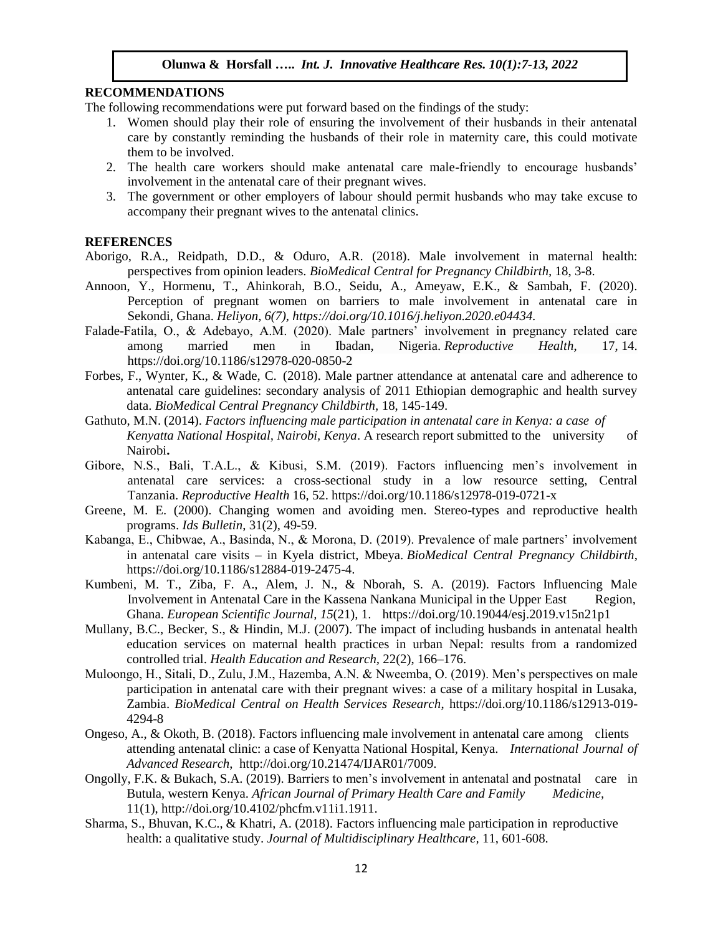## **RECOMMENDATIONS**

The following recommendations were put forward based on the findings of the study:

- 1. Women should play their role of ensuring the involvement of their husbands in their antenatal care by constantly reminding the husbands of their role in maternity care, this could motivate them to be involved.
- 2. The health care workers should make antenatal care male-friendly to encourage husbands' involvement in the antenatal care of their pregnant wives.
- 3. The government or other employers of labour should permit husbands who may take excuse to accompany their pregnant wives to the antenatal clinics.

## **REFERENCES**

- Aborigo, R.A., Reidpath, D.D., & Oduro, A.R. (2018). Male involvement in maternal health: perspectives from opinion leaders. *BioMedical Central for Pregnancy Childbirth,* 18, 3-8.
- Annoon, Y., Hormenu, T., Ahinkorah, B.O., Seidu, A., Ameyaw, E.K., & Sambah, F. (2020). Perception of pregnant women on barriers to male involvement in antenatal care in Sekondi, Ghana. *Heliyon, 6(7), [https://doi.org/10.1016/j.heliyon.2020.e04434.](https://doi.org/10.1016/j.heliyon.2020.e04434)*
- Falade-Fatila, O., & Adebayo, A.M. (2020). Male partners' involvement in pregnancy related care among married men in Ibadan, Nigeria. *Reproductive Health*, 17, 14. <https://doi.org/10.1186/s12978-020-0850-2>
- Forbes, F., Wynter, K., & Wade, C. (2018). Male partner attendance at antenatal care and adherence to antenatal care guidelines: secondary analysis of 2011 Ethiopian demographic and health survey data. *BioMedical Central Pregnancy Childbirth,* 18, 145-149.
- Gathuto, M.N. (2014). *Factors influencing male participation in antenatal care in Kenya: a case of Kenyatta National Hospital, Nairobi, Kenya*. A research report submitted to the university of Nairobi**.**
- Gibore, N.S., Bali, T.A.L., & Kibusi, S.M. (2019). Factors influencing men's involvement in antenatal care services: a cross-sectional study in a low resource setting, Central Tanzania. *Reproductive Health* 16, 52.<https://doi.org/10.1186/s12978-019-0721-x>
- Greene, M. E. (2000). Changing women and avoiding men. Stereo-types and reproductive health programs. *Ids Bulletin*, 31(2), 49-59.
- Kabanga, E., Chibwae, A., Basinda, N., & Morona, D. (2019). Prevalence of male partners' involvement in antenatal care visits – in Kyela district, Mbeya. *BioMedical Central Pregnancy Childbirth*, [https://doi.org/10.1186/s12884-019-2475-4.](https://doi.org/10.1186/s12884-019-2475-4)
- Kumbeni, M. T., Ziba, F. A., Alem, J. N., & Nborah, S. A. (2019). Factors Influencing Male Involvement in Antenatal Care in the Kassena Nankana Municipal in the Upper East Region, Ghana. *European Scientific Journal, 15*(21), 1. <https://doi.org/10.19044/esj.2019.v15n21p1>
- Mullany, B.C., Becker, S., & Hindin, M.J. (2007). The impact of including husbands in antenatal health education services on maternal health practices in urban Nepal: results from a randomized controlled trial. *Health Education and Research,* 22(2), 166–176.
- Muloongo, H., Sitali, D., Zulu, J.M., Hazemba, A.N. & Nweemba, O. (2019). Men's perspectives on male participation in antenatal care with their pregnant wives: a case of a military hospital in Lusaka, Zambia. *BioMedical Central on Health Services Research*, [https://doi.org/10.1186/s12913-019-](https://doi.org/10.1186/s12913-019-4294-8) [4294-8](https://doi.org/10.1186/s12913-019-4294-8)
- Ongeso, A., & Okoth, B. (2018). Factors influencing male involvement in antenatal care among clients attending antenatal clinic: a case of Kenyatta National Hospital, Kenya. *International Journal of Advanced Research*, http://doi.org/10.21474/IJAR01/7009.
- Ongolly, F.K. & Bukach, S.A. (2019). Barriers to men's involvement in antenatal and postnatal care in Butula, western Kenya. *African Journal of Primary Health Care and Family Medicine,* 11(1), http://doi.org[/10.4102/phcfm.v11i1.1911.](https://dx.doi.org/10.4102%2Fphcfm.v11i1.1911)
- Sharma, S., Bhuvan, K.C., & Khatri, A. (2018). Factors influencing male participation in reproductive health: a qualitative study. *Journal of Multidisciplinary Healthcare,* 11, 601-608.